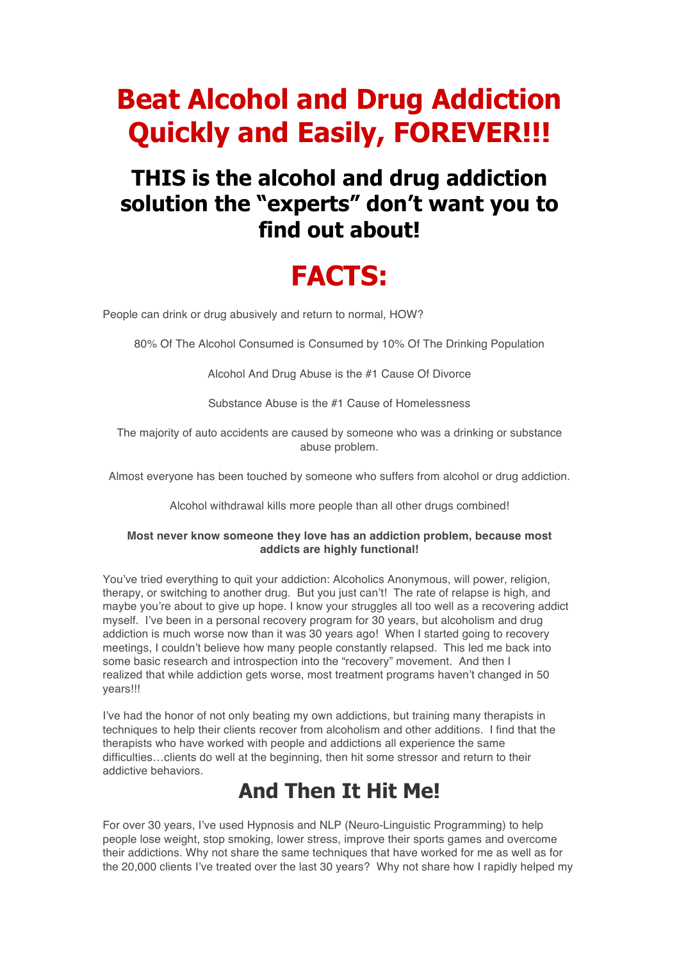# **Beat Alcohol and Drug Addiction Quickly and Easily, FOREVER!!!**

### **THIS is the alcohol and drug addiction solution the "experts" don't want you to find out about!**

# **FACTS:**

People can drink or drug abusively and return to normal, HOW?

80% Of The Alcohol Consumed is Consumed by 10% Of The Drinking Population

Alcohol And Drug Abuse is the #1 Cause Of Divorce

Substance Abuse is the #1 Cause of Homelessness

The majority of auto accidents are caused by someone who was a drinking or substance abuse problem.

Almost everyone has been touched by someone who suffers from alcohol or drug addiction.

Alcohol withdrawal kills more people than all other drugs combined!

#### **Most never know someone they love has an addiction problem, because most addicts are highly functional!**

You've tried everything to quit your addiction: Alcoholics Anonymous, will power, religion, therapy, or switching to another drug. But you just can't! The rate of relapse is high, and maybe you're about to give up hope. I know your struggles all too well as a recovering addict myself. I've been in a personal recovery program for 30 years, but alcoholism and drug addiction is much worse now than it was 30 years ago! When I started going to recovery meetings, I couldn't believe how many people constantly relapsed. This led me back into some basic research and introspection into the "recovery" movement. And then I realized that while addiction gets worse, most treatment programs haven't changed in 50 years!!!

I've had the honor of not only beating my own addictions, but training many therapists in techniques to help their clients recover from alcoholism and other additions. I find that the therapists who have worked with people and addictions all experience the same difficulties…clients do well at the beginning, then hit some stressor and return to their addictive behaviors.

#### **And Then It Hit Me!**

For over 30 years, I've used Hypnosis and NLP (Neuro-Linguistic Programming) to help people lose weight, stop smoking, lower stress, improve their sports games and overcome their addictions. Why not share the same techniques that have worked for me as well as for the 20,000 clients I've treated over the last 30 years? Why not share how I rapidly helped my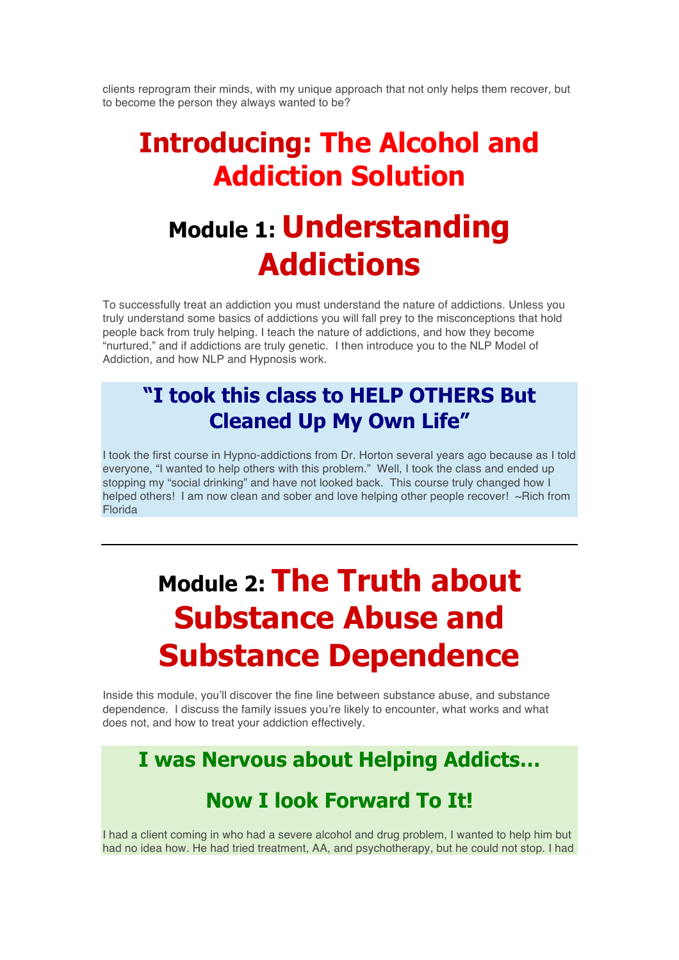clients reprogram their minds, with my unique approach that not only helps them recover, but to become the person they always wanted to be?

## **Introducing: The Alcohol and Addiction Solution**

# **Module 1: Understanding Addictions**

To successfully treat an addiction you must understand the nature of addictions. Unless you truly understand some basics of addictions you will fall prey to the misconceptions that hold people back from truly helping. I teach the nature of addictions, and how they become "nurtured," and if addictions are truly genetic. I then introduce you to the NLP Model of Addiction, and how NLP and Hypnosis work.

### **"I took this class to HELP OTHERS But Cleaned Up My Own Life"**

I took the first course in Hypno-addictions from Dr. Horton several years ago because as I told everyone, "I wanted to help others with this problem." Well, I took the class and ended up stopping my "social drinking" and have not looked back. This course truly changed how I helped others! I am now clean and sober and love helping other people recover! ~Rich from Florida

# **Module 2: The Truth about Substance Abuse and Substance Dependence**

Inside this module, you'll discover the fine line between substance abuse, and substance dependence. I discuss the family issues you're likely to encounter, what works and what does not, and how to treat your addiction effectively.

#### **I was Nervous about Helping Addicts…**

#### **Now I look Forward To It!**

I had a client coming in who had a severe alcohol and drug problem, I wanted to help him but had no idea how. He had tried treatment, AA, and psychotherapy, but he could not stop. I had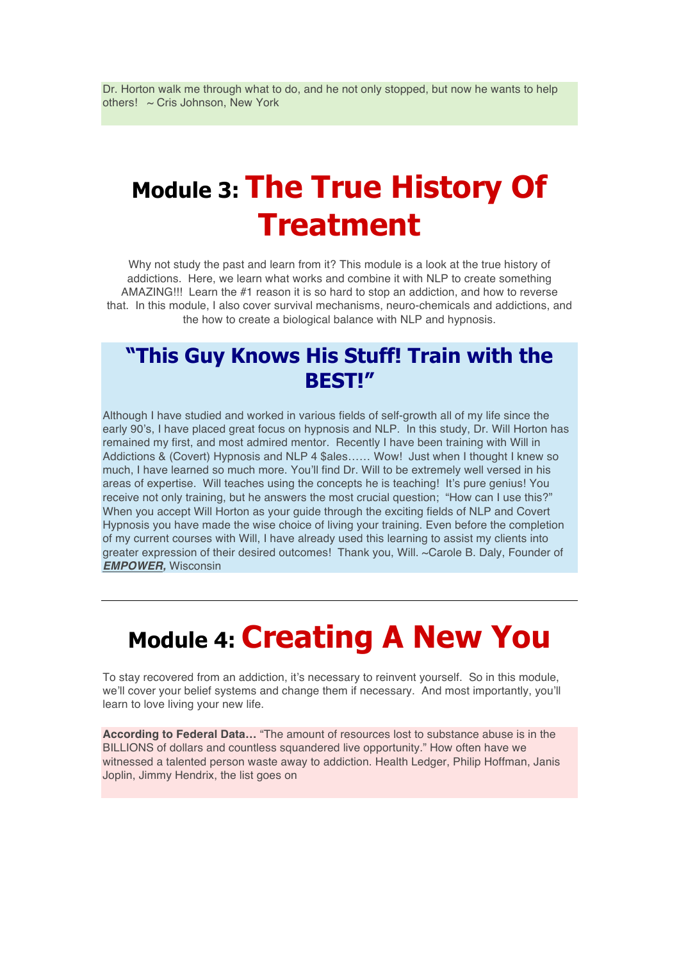Dr. Horton walk me through what to do, and he not only stopped, but now he wants to help others! ~ Cris Johnson, New York

# **Module 3: The True History Of Treatment**

Why not study the past and learn from it? This module is a look at the true history of addictions. Here, we learn what works and combine it with NLP to create something AMAZING!!! Learn the #1 reason it is so hard to stop an addiction, and how to reverse that. In this module, I also cover survival mechanisms, neuro-chemicals and addictions, and the how to create a biological balance with NLP and hypnosis.

#### **"This Guy Knows His Stuff! Train with the BEST!"**

Although I have studied and worked in various fields of self-growth all of my life since the early 90's, I have placed great focus on hypnosis and NLP. In this study, Dr. Will Horton has remained my first, and most admired mentor. Recently I have been training with Will in Addictions & (Covert) Hypnosis and NLP 4 \$ales…… Wow! Just when I thought I knew so much, I have learned so much more. You'll find Dr. Will to be extremely well versed in his areas of expertise. Will teaches using the concepts he is teaching! It's pure genius! You receive not only training, but he answers the most crucial question; "How can I use this?" When you accept Will Horton as your guide through the exciting fields of NLP and Covert Hypnosis you have made the wise choice of living your training. Even before the completion of my current courses with Will, I have already used this learning to assist my clients into greater expression of their desired outcomes! Thank you, Will. ~Carole B. Daly, Founder of *EMPOWER,* Wisconsin

# **Module 4: Creating A New You**

To stay recovered from an addiction, it's necessary to reinvent yourself. So in this module, we'll cover your belief systems and change them if necessary. And most importantly, you'll learn to love living your new life.

**According to Federal Data…** "The amount of resources lost to substance abuse is in the BILLIONS of dollars and countless squandered live opportunity." How often have we witnessed a talented person waste away to addiction. Health Ledger, Philip Hoffman, Janis Joplin, Jimmy Hendrix, the list goes on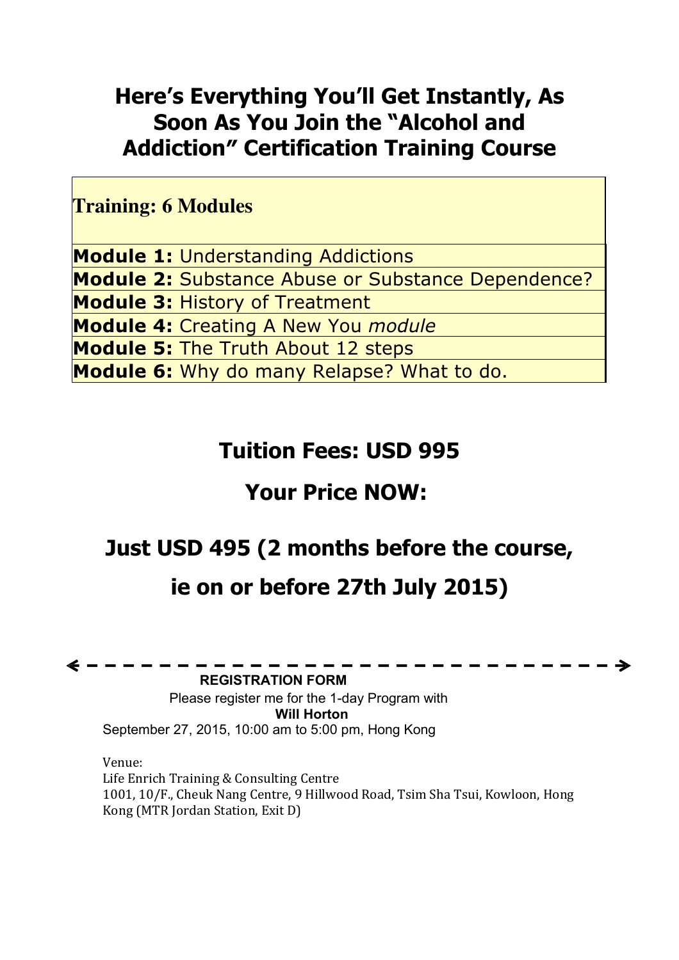### **Here's Everything You'll Get Instantly, As Soon As You Join the "Alcohol and Addiction″ Certification Training Course**

**Training: 6 Modules**

**Module 1:** Understanding Addictions **Module 2:** Substance Abuse or Substance Dependence? **Module 3:** History of Treatment **Module 4:** Creating A New You *module* **Module 5:** The Truth About 12 steps **Module 6:** Why do many Relapse? What to do.

### **Tuition Fees: USD 995**

### **Your Price NOW:**

### **Just USD 495 (2 months before the course,**

### **ie on or before 27th July 2015)**

**REGISTRATION FORM**

Please register me for the 1-day Program with **Will Horton** September 27, 2015, 10:00 am to 5:00 pm, Hong Kong

Venue: Life Enrich Training & Consulting Centre 1001, 10/F., Cheuk Nang Centre, 9 Hillwood Road, Tsim Sha Tsui, Kowloon, Hong Kong (MTR Jordan Station, Exit D)